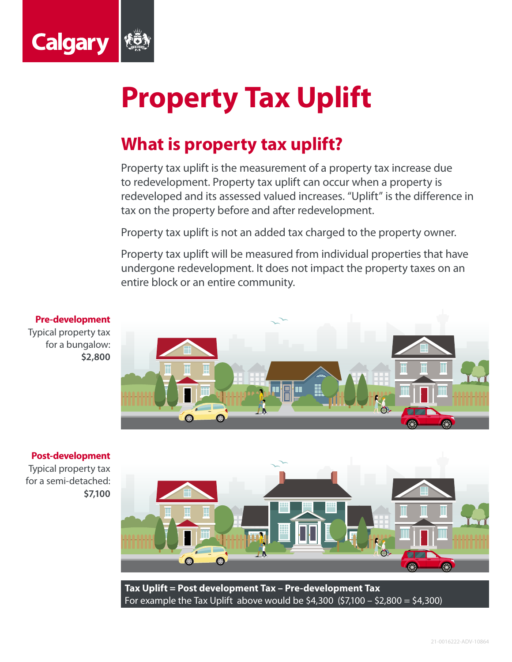

## **Property Tax Uplift**

## **What is property tax uplift?**

Property tax uplift is the measurement of a property tax increase due to redevelopment. Property tax uplift can occur when a property is redeveloped and its assessed valued increases. "Uplift" is the difference in tax on the property before and after redevelopment.

Property tax uplift is not an added tax charged to the property owner.

Property tax uplift will be measured from individual properties that have undergone redevelopment. It does not impact the property taxes on an entire block or an entire community.



## **Post-development**

Typical property tax for a semi-detached: **\$7,100**



**Tax Uplift = Post development Tax – Pre-development Tax** For example the Tax Uplift above would be \$4,300  $(57,100 - 52,800 = 54,300)$